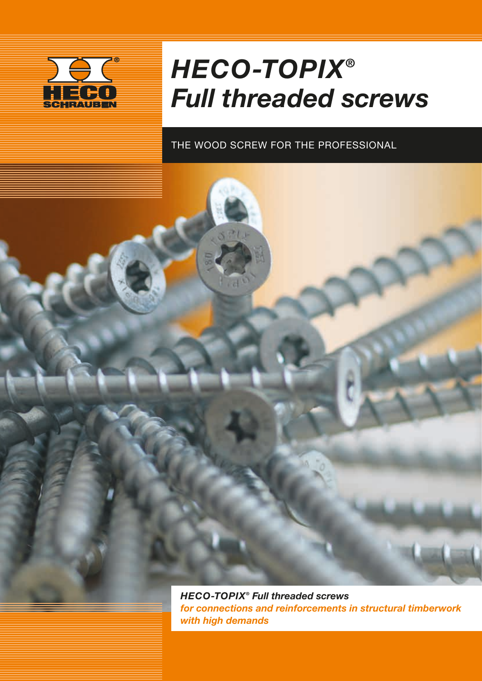

# *HECO-TOPIX® Full threaded screws*

### THE WOOD SCREW FOR THE PROFESSIONAL

*HECO-TOPIX® Full threaded screws for connections and reinforcements in structural timberwork with high demands*